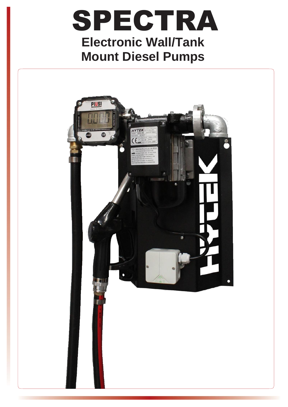